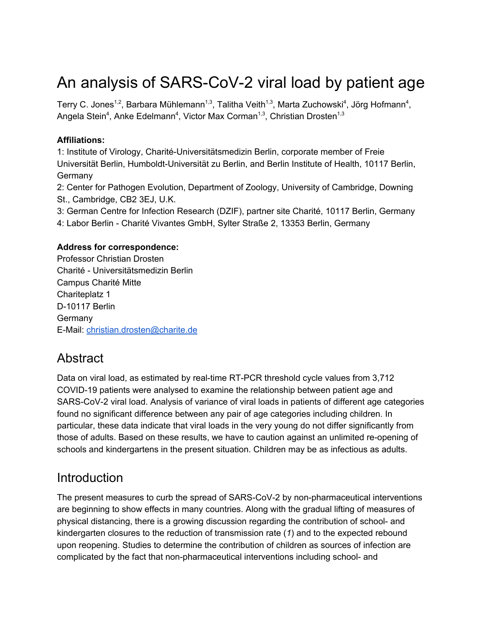# An analysis of SARS-CoV-2 viral load by patient age

Terry C. Jones<sup>1,2</sup>, Barbara Mühlemann<sup>1,3</sup>, Talitha Veith<sup>1,3</sup>, Marta Zuchowski<sup>4</sup>, Jörg Hofmann<sup>4</sup>, Angela Stein<sup>4</sup>, Anke Edelmann<sup>4</sup>, Victor Max Corman<sup>1,3</sup>, Christian Drosten<sup>1,3</sup>

#### **Affiliations:**

1: Institute of Virology, Charité-Universitätsmedizin Berlin, corporate member of Freie Universität Berlin, Humboldt-Universität zu Berlin, and Berlin Institute of Health, 10117 Berlin, Germany

2: Center for Pathogen Evolution, Department of Zoology, University of Cambridge, Downing St., Cambridge, CB2 3EJ, U.K.

3: German Centre for Infection Research (DZIF), partner site Charité, 10117 Berlin, Germany

4: Labor Berlin - Charité Vivantes GmbH, Sylter Straße 2, 13353 Berlin, Germany

#### **Address for correspondence:**

Professor Christian Drosten Charité - Universitätsmedizin Berlin Campus Charité Mitte Chariteplatz 1 D-10117 Berlin **Germany** E-Mail: [christian.drosten@charite.de](mailto:christian.drosten@charite.de)

### **Abstract**

Data on viral load, as estimated by real-time RT-PCR threshold cycle values from 3,712 COVID-19 patients were analysed to examine the relationship between patient age and SARS-CoV-2 viral load. Analysis of variance of viral loads in patients of different age categories found no significant difference between any pair of age categories including children. In particular, these data indicate that viral loads in the very young do not differ significantly from those of adults. Based on these results, we have to caution against an unlimited re-opening of schools and kindergartens in the present situation. Children may be as infectious as adults.

### **Introduction**

The present measures to curb the spread of SARS-CoV-2 by non-pharmaceutical interventions are beginning to show effects in many countries. Along with the gradual lifting of measures of physical distancing, there is a growing discussion regarding the contribution of school- and kindergarten closures to the reduction of transmission rate [\(](https://paperpile.com/c/H38esm/zN2j)*[1](https://paperpile.com/c/H38esm/zN2j)*[\)](https://paperpile.com/c/H38esm/zN2j) and to the expected rebound upon reopening. Studies to determine the contribution of children as sources of infection are complicated by the fact that non-pharmaceutical interventions including school- and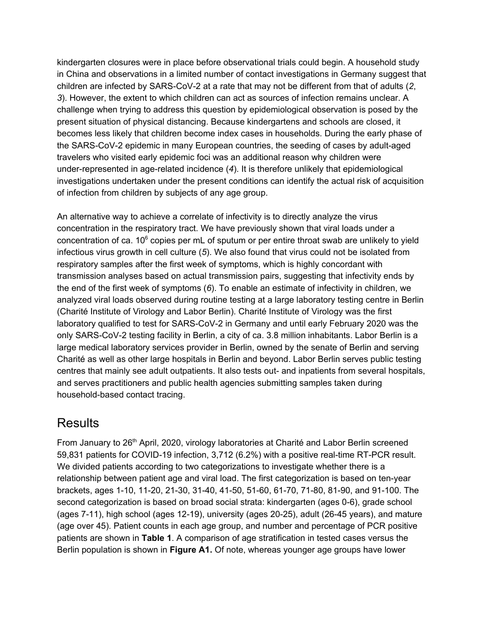kindergarten closures were in place before observational trials could begin. A household study in China and observations in a limited number of contact investigations in Germany suggest that children are infected by SARS-CoV-2 at a rate that may not be different from that of adults [\(](https://paperpile.com/c/H38esm/pv21+Igxu)*[2](https://paperpile.com/c/H38esm/pv21+Igxu)*[,](https://paperpile.com/c/H38esm/pv21+Igxu) *[3](https://paperpile.com/c/H38esm/pv21+Igxu)*[\).](https://paperpile.com/c/H38esm/pv21+Igxu) However, the extent to which children can act as sources of infection remains unclear. A challenge when trying to address this question by epidemiological observation is posed by the present situation of physical distancing. Because kindergartens and schools are closed, it becomes less likely that children become index cases in households. During the early phase of the SARS-CoV-2 epidemic in many European countries, the seeding of cases by adult-aged travelers who visited early epidemic foci was an additional reason why children were under-represented in age-related incidence [\(](https://paperpile.com/c/H38esm/6tAP)*[4](https://paperpile.com/c/H38esm/6tAP)*[\)](https://paperpile.com/c/H38esm/6tAP). It is therefore unlikely that epidemiological investigations undertaken under the present conditions can identify the actual risk of acquisition of infection from children by subjects of any age group.

An alternative way to achieve a correlate of infectivity is to directly analyze the virus concentration in the respiratory tract. We have previously shown that viral loads under a concentration of ca.  $10^6$  copies per mL of sputum or per entire throat swab are unlikely to yield infectious virus growth in cell culture [\(](https://paperpile.com/c/H38esm/94mu)*[5](https://paperpile.com/c/H38esm/94mu)*[\).](https://paperpile.com/c/H38esm/94mu) We also found that virus could not be isolated from respiratory samples after the first week of symptoms, which is highly concordant with transmission analyses based on actual transmission pairs, suggesting that infectivity ends by the end of the first week of symptoms [\(](https://paperpile.com/c/H38esm/ickt)*[6](https://paperpile.com/c/H38esm/ickt)*[\).](https://paperpile.com/c/H38esm/ickt) To enable an estimate of infectivity in children, we analyzed viral loads observed during routine testing at a large laboratory testing centre in Berlin (Charité Institute of Virology and Labor Berlin). Charité Institute of Virology was the first laboratory qualified to test for SARS-CoV-2 in Germany and until early February 2020 was the only SARS-CoV-2 testing facility in Berlin, a city of ca. 3.8 million inhabitants. Labor Berlin is a large medical laboratory services provider in Berlin, owned by the senate of Berlin and serving Charité as well as other large hospitals in Berlin and beyond. Labor Berlin serves public testing centres that mainly see adult outpatients. It also tests out- and inpatients from several hospitals, and serves practitioners and public health agencies submitting samples taken during household-based contact tracing.

### **Results**

From January to 26<sup>th</sup> April, 2020, virology laboratories at Charité and Labor Berlin screened 59,831 patients for COVID-19 infection, 3,712 (6.2%) with a positive real-time RT-PCR result. We divided patients according to two categorizations to investigate whether there is a relationship between patient age and viral load. The first categorization is based on ten-year brackets, ages 1-10, 11-20, 21-30, 31-40, 41-50, 51-60, 61-70, 71-80, 81-90, and 91-100. The second categorization is based on broad social strata: kindergarten (ages 0-6), grade school (ages 7-11), high school (ages 12-19), university (ages 20-25), adult (26-45 years), and mature (age over 45). Patient counts in each age group, and number and percentage of PCR positive patients are shown in **Table 1**. A comparison of age stratification in tested cases versus the Berlin population is shown in **Figure A1.** Of note, whereas younger age groups have lower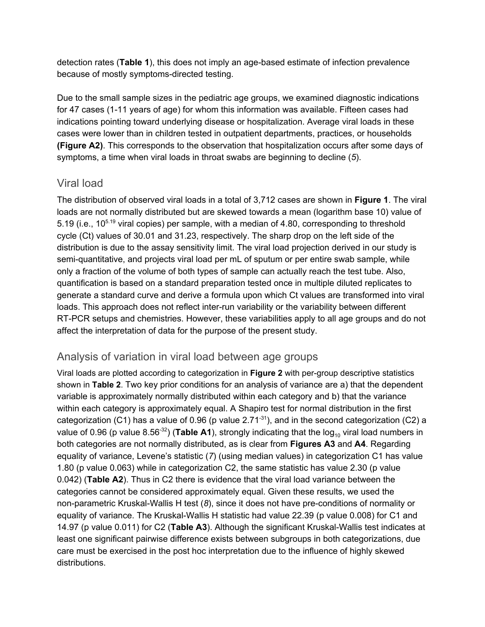detection rates (**Table 1**), this does not imply an age-based estimate of infection prevalence because of mostly symptoms-directed testing.

Due to the small sample sizes in the pediatric age groups, we examined diagnostic indications for 47 cases (1-11 years of age) for whom this information was available. Fifteen cases had indications pointing toward underlying disease or hospitalization. Average viral loads in these cases were lower than in children tested in outpatient departments, practices, or households **(Figure A2)**. This corresponds to the observation that hospitalization occurs after some days of symptoms, a time when viral loads in throat swabs are beginning to decline [\(](https://paperpile.com/c/H38esm/94mu)*[5](https://paperpile.com/c/H38esm/94mu)*[\)](https://paperpile.com/c/H38esm/94mu).

#### Viral load

The distribution of observed viral loads in a total of 3,712 cases are shown in **Figure 1**. The viral loads are not normally distributed but are skewed towards a mean (logarithm base 10) value of 5.19 (i.e., 10<sup>5.19</sup> viral copies) per sample, with a median of 4.80, corresponding to threshold cycle (Ct) values of 30.01 and 31.23, respectively. The sharp drop on the left side of the distribution is due to the assay sensitivity limit. The viral load projection derived in our study is semi-quantitative, and projects viral load per mL of sputum or per entire swab sample, while only a fraction of the volume of both types of sample can actually reach the test tube. Also, quantification is based on a standard preparation tested once in multiple diluted replicates to generate a standard curve and derive a formula upon which Ct values are transformed into viral loads. This approach does not reflect inter-run variability or the variability between different RT-PCR setups and chemistries. However, these variabilities apply to all age groups and do not affect the interpretation of data for the purpose of the present study.

#### Analysis of variation in viral load between age groups

Viral loads are plotted according to categorization in **Figure 2** with per-group descriptive statistics shown in **Table 2**. Two key prior conditions for an analysis of variance are a) that the dependent variable is approximately normally distributed within each category and b) that the variance within each category is approximately equal. A Shapiro test for normal distribution in the first categorization (C1) has a value of 0.96 (p value 2.71 $31$ ), and in the second categorization (C2) a value of 0.96 (p value 8.56<sup>-32</sup>) (**Table A1**), strongly indicating that the log<sub>10</sub> viral load numbers in both categories are not normally distributed, as is clear from **Figures A3** and **A4**. Regarding equality of variance, Levene's statistic [\(](https://paperpile.com/c/H38esm/7SJj)*[7](https://paperpile.com/c/H38esm/7SJj)*[\)](https://paperpile.com/c/H38esm/7SJj) (using median values) in categorization C1 has value 1.80 (p value 0.063) while in categorization C2, the same statistic has value 2.30 (p value 0.042) (**Table A2**). Thus in C2 there is evidence that the viral load variance between the categories cannot be considered approximately equal. Given these results, we used the non-parametric Kruskal-Wallis H test [\(](https://paperpile.com/c/H38esm/rDno)*[8](https://paperpile.com/c/H38esm/rDno)*[\),](https://paperpile.com/c/H38esm/rDno) since it does not have pre-conditions of normality or equality of variance. The Kruskal-Wallis H statistic had value 22.39 (p value 0.008) for C1 and 14.97 (p value 0.011) for C2 (**Table A3**). Although the significant Kruskal-Wallis test indicates at least one significant pairwise difference exists between subgroups in both categorizations, due care must be exercised in the post hoc interpretation due to the influence of highly skewed distributions.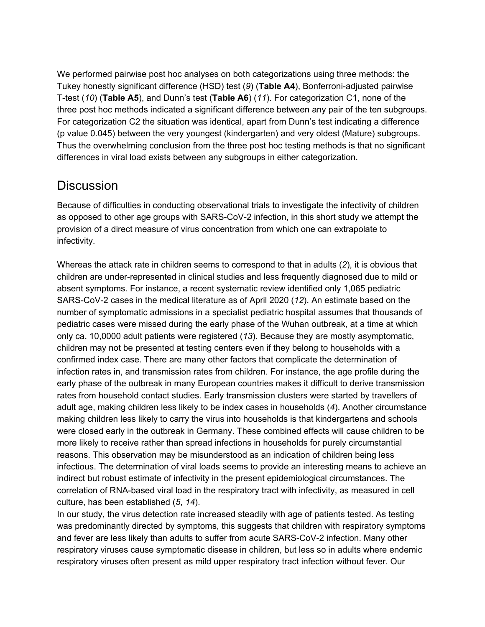We performed pairwise post hoc analyses on both categorizations using three methods: the Tukey honestly significant difference (HSD) test [\(](https://paperpile.com/c/H38esm/k8Ow)*[9](https://paperpile.com/c/H38esm/k8Ow)*[\)](https://paperpile.com/c/H38esm/k8Ow) (**Table A4**), Bonferroni-adjusted pairwise T-test [\(](https://paperpile.com/c/H38esm/8V3e)*[10](https://paperpile.com/c/H38esm/8V3e)*[\)](https://paperpile.com/c/H38esm/8V3e) (**Table A5**), and Dunn's test (**Table A6**) [\(](https://paperpile.com/c/H38esm/UdzW)*[11](https://paperpile.com/c/H38esm/UdzW)*[\)](https://paperpile.com/c/H38esm/UdzW). For categorization C1, none of the three post hoc methods indicated a significant difference between any pair of the ten subgroups. For categorization C2 the situation was identical, apart from Dunn's test indicating a difference (p value 0.045) between the very youngest (kindergarten) and very oldest (Mature) subgroups. Thus the overwhelming conclusion from the three post hoc testing methods is that no significant differences in viral load exists between any subgroups in either categorization.

## **Discussion**

Because of difficulties in conducting observational trials to investigate the infectivity of children as opposed to other age groups with SARS-CoV-2 infection, in this short study we attempt the provision of a direct measure of virus concentration from which one can extrapolate to infectivity.

Whereas the attack rate in children seems to correspond to that in adults [\(](https://paperpile.com/c/H38esm/pv21)*[2](https://paperpile.com/c/H38esm/pv21)*[\),](https://paperpile.com/c/H38esm/pv21) it is obvious that children are under-represented in clinical studies and less frequently diagnosed due to mild or absent symptoms. For instance, a recent systematic review identified only 1,065 pediatric SARS-CoV-2 cases in the medical literature as of April 2020 [\(](https://paperpile.com/c/H38esm/Zv3d)*[12](https://paperpile.com/c/H38esm/Zv3d)*[\)](https://paperpile.com/c/H38esm/Zv3d). An estimate based on the number of symptomatic admissions in a specialist pediatric hospital assumes that thousands of pediatric cases were missed during the early phase of the Wuhan outbreak, at a time at which only ca. 10,0000 adult patients were registered [\(](https://paperpile.com/c/H38esm/ijjE)*[13](https://paperpile.com/c/H38esm/ijjE)*[\)](https://paperpile.com/c/H38esm/ijjE). Because they are mostly asymptomatic, children may not be presented at testing centers even if they belong to households with a confirmed index case. There are many other factors that complicate the determination of infection rates in, and transmission rates from children. For instance, the age profile during the early phase of the outbreak in many European countries makes it difficult to derive transmission rates from household contact studies. Early transmission clusters were started by travellers of adult age, making children less likely to be index cases in households [\(](https://paperpile.com/c/H38esm/6tAP)*[4](https://paperpile.com/c/H38esm/6tAP)*[\).](https://paperpile.com/c/H38esm/6tAP) Another circumstance making children less likely to carry the virus into households is that kindergartens and schools were closed early in the outbreak in Germany. These combined effects will cause children to be more likely to receive rather than spread infections in households for purely circumstantial reasons. This observation may be misunderstood as an indication of children being less infectious. The determination of viral loads seems to provide an interesting means to achieve an indirect but robust estimate of infectivity in the present epidemiological circumstances. The correlation of RNA-based viral load in the respiratory tract with infectivity, as measured in cell culture, has been established [\(](https://paperpile.com/c/H38esm/94mu+2JRw)*[5](https://paperpile.com/c/H38esm/94mu+2JRw)*[,](https://paperpile.com/c/H38esm/94mu+2JRw) *[14](https://paperpile.com/c/H38esm/94mu+2JRw)*[\).](https://paperpile.com/c/H38esm/94mu+2JRw)

In our study, the virus detection rate increased steadily with age of patients tested. As testing was predominantly directed by symptoms, this suggests that children with respiratory symptoms and fever are less likely than adults to suffer from acute SARS-CoV-2 infection. Many other respiratory viruses cause symptomatic disease in children, but less so in adults where endemic respiratory viruses often present as mild upper respiratory tract infection without fever. Our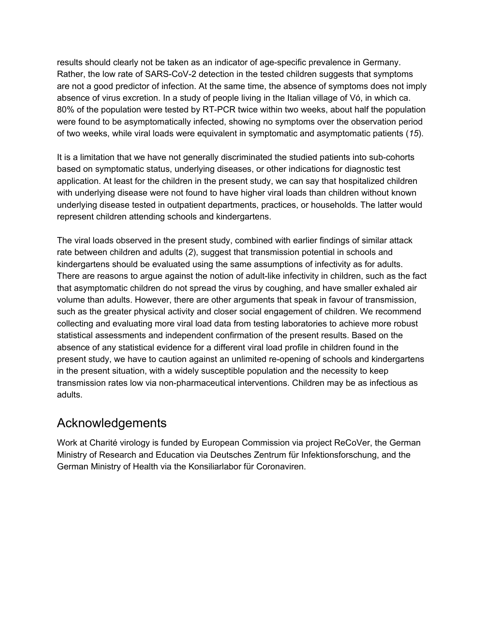results should clearly not be taken as an indicator of age-specific prevalence in Germany. Rather, the low rate of SARS-CoV-2 detection in the tested children suggests that symptoms are not a good predictor of infection. At the same time, the absence of symptoms does not imply absence of virus excretion. In a study of people living in the Italian village of Vó, in which ca. 80% of the population were tested by RT-PCR twice within two weeks, about half the population were found to be asymptomatically infected, showing no symptoms over the observation period of two weeks, while viral loads were equivalent in symptomatic and asymptomatic patients [\(](https://paperpile.com/c/H38esm/l6in)*[15](https://paperpile.com/c/H38esm/l6in)*[\)](https://paperpile.com/c/H38esm/l6in).

It is a limitation that we have not generally discriminated the studied patients into sub-cohorts based on symptomatic status, underlying diseases, or other indications for diagnostic test application. At least for the children in the present study, we can say that hospitalized children with underlying disease were not found to have higher viral loads than children without known underlying disease tested in outpatient departments, practices, or households. The latter would represent children attending schools and kindergartens.

The viral loads observed in the present study, combined with earlier findings of similar attack rate between children and adults [\(](https://paperpile.com/c/H38esm/pv21)*[2](https://paperpile.com/c/H38esm/pv21)*[\),](https://paperpile.com/c/H38esm/pv21) suggest that transmission potential in schools and kindergartens should be evaluated using the same assumptions of infectivity as for adults. There are reasons to argue against the notion of adult-like infectivity in children, such as the fact that asymptomatic children do not spread the virus by coughing, and have smaller exhaled air volume than adults. However, there are other arguments that speak in favour of transmission, such as the greater physical activity and closer social engagement of children. We recommend collecting and evaluating more viral load data from testing laboratories to achieve more robust statistical assessments and independent confirmation of the present results. Based on the absence of any statistical evidence for a different viral load profile in children found in the present study, we have to caution against an unlimited re-opening of schools and kindergartens in the present situation, with a widely susceptible population and the necessity to keep transmission rates low via non-pharmaceutical interventions. Children may be as infectious as adults.

## Acknowledgements

Work at Charité virology is funded by European Commission via project ReCoVer, the German Ministry of Research and Education via Deutsches Zentrum für Infektionsforschung, and the German Ministry of Health via the Konsiliarlabor für Coronaviren.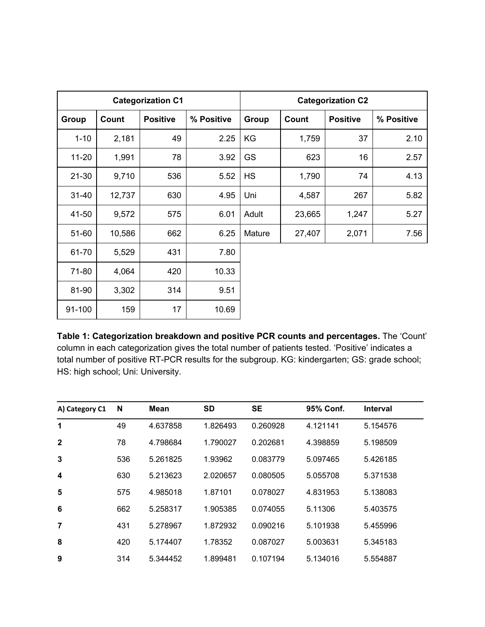|           |        | <b>Categorization C1</b> |            |           |        | <b>Categorization C2</b> |            |
|-----------|--------|--------------------------|------------|-----------|--------|--------------------------|------------|
| Group     | Count  | <b>Positive</b>          | % Positive | Group     | Count  | <b>Positive</b>          | % Positive |
| $1 - 10$  | 2,181  | 49                       | 2.25       | KG        | 1,759  | 37                       | 2.10       |
| $11 - 20$ | 1,991  | 78                       | 3.92       | <b>GS</b> | 623    | 16                       | 2.57       |
| $21 - 30$ | 9,710  | 536                      | 5.52       | <b>HS</b> | 1,790  | 74                       | 4.13       |
| $31 - 40$ | 12,737 | 630                      | 4.95       | Uni       | 4,587  | 267                      | 5.82       |
| 41-50     | 9,572  | 575                      | 6.01       | Adult     | 23,665 | 1,247                    | 5.27       |
| 51-60     | 10,586 | 662                      | 6.25       | Mature    | 27,407 | 2,071                    | 7.56       |
| 61-70     | 5,529  | 431                      | 7.80       |           |        |                          |            |
| 71-80     | 4,064  | 420                      | 10.33      |           |        |                          |            |
| 81-90     | 3,302  | 314                      | 9.51       |           |        |                          |            |
| 91-100    | 159    | 17                       | 10.69      |           |        |                          |            |

**Table 1: Categorization breakdown and positive PCR counts and percentages.** The 'Count' column in each categorization gives the total number of patients tested. 'Positive' indicates a total number of positive RT-PCR results for the subgroup. KG: kindergarten; GS: grade school; HS: high school; Uni: University.

| A) Category C1          | N   | <b>Mean</b> | <b>SD</b> | <b>SE</b> | 95% Conf. | <b>Interval</b> |
|-------------------------|-----|-------------|-----------|-----------|-----------|-----------------|
| 1                       | 49  | 4.637858    | 1.826493  | 0.260928  | 4.121141  | 5.154576        |
| $\mathbf{2}$            | 78  | 4.798684    | 1.790027  | 0.202681  | 4.398859  | 5.198509        |
| 3                       | 536 | 5.261825    | 1.93962   | 0.083779  | 5.097465  | 5.426185        |
| $\overline{\mathbf{4}}$ | 630 | 5.213623    | 2.020657  | 0.080505  | 5.055708  | 5.371538        |
| 5                       | 575 | 4.985018    | 1.87101   | 0.078027  | 4.831953  | 5.138083        |
| 6                       | 662 | 5.258317    | 1.905385  | 0.074055  | 5.11306   | 5.403575        |
| 7                       | 431 | 5.278967    | 1.872932  | 0.090216  | 5.101938  | 5.455996        |
| 8                       | 420 | 5.174407    | 1.78352   | 0.087027  | 5.003631  | 5.345183        |
| 9                       | 314 | 5.344452    | 1.899481  | 0.107194  | 5.134016  | 5.554887        |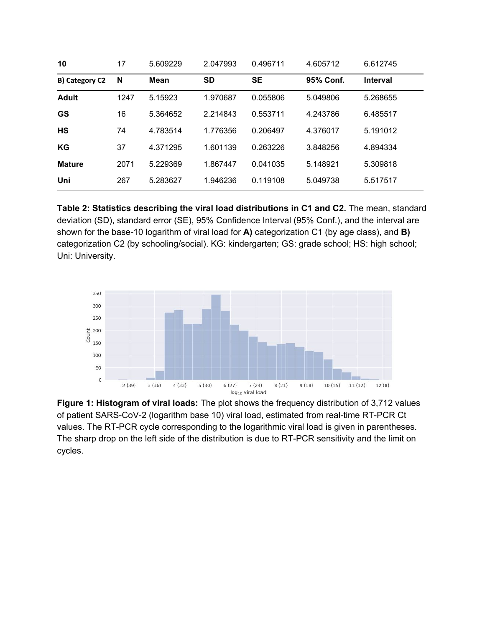| 10             | 17   | 5.609229 | 2.047993  | 0.496711  | 4.605712  | 6.612745        |
|----------------|------|----------|-----------|-----------|-----------|-----------------|
| B) Category C2 | N    | Mean     | <b>SD</b> | <b>SE</b> | 95% Conf. | <b>Interval</b> |
| <b>Adult</b>   | 1247 | 5.15923  | 1.970687  | 0.055806  | 5.049806  | 5.268655        |
| <b>GS</b>      | 16   | 5.364652 | 2.214843  | 0.553711  | 4.243786  | 6.485517        |
| <b>HS</b>      | 74   | 4.783514 | 1.776356  | 0.206497  | 4.376017  | 5.191012        |
| KG             | 37   | 4.371295 | 1.601139  | 0.263226  | 3.848256  | 4.894334        |
| <b>Mature</b>  | 2071 | 5.229369 | 1.867447  | 0.041035  | 5.148921  | 5.309818        |
| Uni            | 267  | 5.283627 | 1.946236  | 0.119108  | 5.049738  | 5.517517        |

**Table 2: Statistics describing the viral load distributions in C1 and C2.** The mean, standard deviation (SD), standard error (SE), 95% Confidence Interval (95% Conf.), and the interval are shown for the base-10 logarithm of viral load for **A)** categorization C1 (by age class), and **B)** categorization C2 (by schooling/social). KG: kindergarten; GS: grade school; HS: high school; Uni: University.



**Figure 1: Histogram of viral loads:** The plot shows the frequency distribution of 3,712 values of patient SARS-CoV-2 (logarithm base 10) viral load, estimated from real-time RT-PCR Ct values. The RT-PCR cycle corresponding to the logarithmic viral load is given in parentheses. The sharp drop on the left side of the distribution is due to RT-PCR sensitivity and the limit on cycles.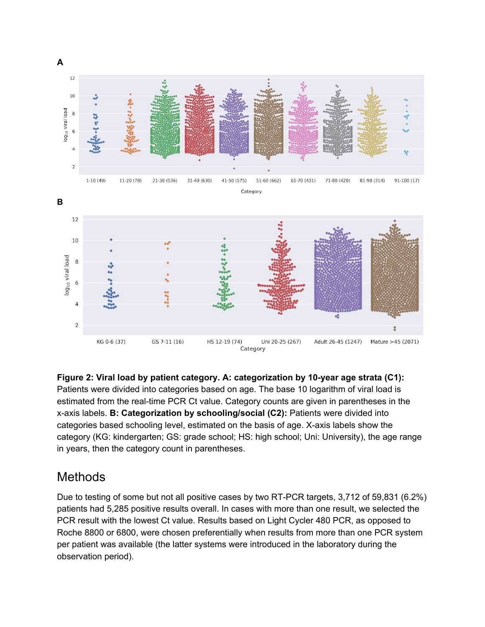

**Figure 2: Viral load by patient category. A: categorization by 10-year age strata (C1):** Patients were divided into categories based on age. The base 10 logarithm of viral load is estimated from the real-time PCR Ct value. Category counts are given in parentheses in the x-axis labels. **B: Categorization by schooling/social (C2):** Patients were divided into categories based schooling level, estimated on the basis of age. X-axis labels show the category (KG: kindergarten; GS: grade school; HS: high school; Uni: University), the age range in years, then the category count in parentheses.

### **Methods**

Due to testing of some but not all positive cases by two RT-PCR targets, 3,712 of 59,831 (6.2%) patients had 5,285 positive results overall. In cases with more than one result, we selected the PCR result with the lowest Ct value. Results based on Light Cycler 480 PCR, as opposed to Roche 8800 or 6800, were chosen preferentially when results from more than one PCR system per patient was available (the latter systems were introduced in the laboratory during the observation period).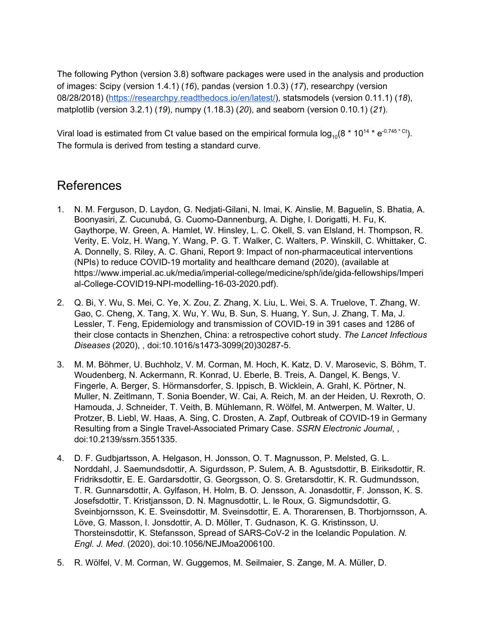The following Python (version 3.8) software packages were used in the analysis and production of images: Scipy (version 1.4.1) [\(](https://paperpile.com/c/H38esm/vLQe)*[16](https://paperpile.com/c/H38esm/vLQe)*[\)](https://paperpile.com/c/H38esm/vLQe), pandas (version 1.0.3) [\(](https://paperpile.com/c/H38esm/Hyg4)*[17](https://paperpile.com/c/H38esm/Hyg4)*[\),](https://paperpile.com/c/H38esm/Hyg4) researchpy (version 08/28/2018) [\(https://researchpy.readthedocs.io/en/latest/](https://researchpy.readthedocs.io/en/latest/)), statsmodels (version 0.11.1) [\(](https://paperpile.com/c/H38esm/mCHU)*[18](https://paperpile.com/c/H38esm/mCHU)*[\)](https://paperpile.com/c/H38esm/mCHU), matplotlib (version 3.2.1) [\(](https://paperpile.com/c/H38esm/9x4o)*[19](https://paperpile.com/c/H38esm/9x4o)*[\),](https://paperpile.com/c/H38esm/9x4o) numpy (1.18.3) [\(](https://paperpile.com/c/H38esm/VU65)*[20](https://paperpile.com/c/H38esm/VU65)*[\)](https://paperpile.com/c/H38esm/VU65), and seaborn (version 0.10.1) [\(](https://paperpile.com/c/H38esm/BIam)*[21](https://paperpile.com/c/H38esm/BIam)*[\).](https://paperpile.com/c/H38esm/BIam)

Viral load is estimated from Ct value based on the empirical formula log<sub>10</sub>(8 \* 10<sup>14</sup> \* e<sup>-0.745 \* ct</sup>). The formula is derived from testing a standard curve.

#### References

- 1. N. M. Ferguson, D. Laydon, G. [Nedjati-Gilani,](http://paperpile.com/b/H38esm/zN2j) N. Imai, K. Ainslie, M. Baguelin, S. Bhatia, A. Boonyasiri, Z. Cucunubá, G. [Cuomo-Dannenburg,](http://paperpile.com/b/H38esm/zN2j) A. Dighe, I. Dorigatti, H. Fu, K. Gaythorpe, W. Green, A. Hamlet, W. Hinsley, L. C. Okell, S. van Elsland, H. [Thompson,](http://paperpile.com/b/H38esm/zN2j) R. Verity, E. Volz, H. Wang, Y. Wang, P. G. T. Walker, C. Walters, P. Winskill, C. [Whittaker,](http://paperpile.com/b/H38esm/zN2j) C. A. Donnelly, S. Riley, A. C. Ghani, Report 9: Impact of [non-pharmaceutical](http://paperpile.com/b/H38esm/zN2j) interventions (NPIs) to reduce COVID-19 mortality and [healthcare](http://paperpile.com/b/H38esm/zN2j) demand (2020), (available at [https://www.imperial.ac.uk/media/imperial-college/medicine/sph/ide/gida-fellowships/Imperi](https://www.imperial.ac.uk/media/imperial-college/medicine/sph/ide/gida-fellowships/Imperial-College-COVID19-NPI-modelling-16-03-2020.pdf) [al-College-COVID19-NPI-modelling-16-03-2020.pdf](https://www.imperial.ac.uk/media/imperial-college/medicine/sph/ide/gida-fellowships/Imperial-College-COVID19-NPI-modelling-16-03-2020.pdf)[\).](http://paperpile.com/b/H38esm/zN2j)
- 2. Q. Bi, Y. Wu, S. Mei, C. Ye, X. Zou, Z. Zhang, X. Liu, L. Wei, S. A. [Truelove,](http://paperpile.com/b/H38esm/pv21) T. Zhang, W. Gao, C. Cheng, X. Tang, X. Wu, Y. Wu, B. Sun, S. [Huang,](http://paperpile.com/b/H38esm/pv21) Y. Sun, J. Zhang, T. Ma, J. Lessler, T. Feng, [Epidemiology](http://paperpile.com/b/H38esm/pv21) and transmission of COVID-19 in 391 cases and 1286 of their close contacts in Shenzhen, China: a [retrospective](http://paperpile.com/b/H38esm/pv21) cohort study. *The Lancet [Infectious](http://paperpile.com/b/H38esm/pv21) [Diseases](http://paperpile.com/b/H38esm/pv21)* [\(2020\),](http://paperpile.com/b/H38esm/pv21) , doi:[10.1016/s1473-3099\(20\)30287-5](http://dx.doi.org/10.1016/s1473-3099(20)30287-5)[.](http://paperpile.com/b/H38esm/pv21)
- 3. M. M. Böhmer, U. Buchholz, V. M. Corman, M. Hoch, K. Katz, D. V. [Marosevic,](http://paperpile.com/b/H38esm/Igxu) S. Böhm, T. [Woudenberg,](http://paperpile.com/b/H38esm/Igxu) N. Ackermann, R. Konrad, U. Eberle, B. Treis, A. Dangel, K. Bengs, V. Fingerle, A. Berger, S. [Hörmansdorfer,](http://paperpile.com/b/H38esm/Igxu) S. Ippisch, B. Wicklein, A. Grahl, K. Pörtner, N. Muller, N. [Zeitlmann,](http://paperpile.com/b/H38esm/Igxu) T. Sonia Boender, W. Cai, A. Reich, M. an der Heiden, U. Rexroth, O. Hamouda, J. Schneider, T. Veith, B. [Mühlemann,](http://paperpile.com/b/H38esm/Igxu) R. Wölfel, M. Antwerpen, M. Walter, U. Protzer, B. Liebl, W. Haas, A. Sing, C. Drosten, A. Zapf, Outbreak of [COVID-19](http://paperpile.com/b/H38esm/Igxu) in Germany Resulting from a Single [Travel-Associated](http://paperpile.com/b/H38esm/Igxu) Primary Case. *SSRN [Electronic](http://paperpile.com/b/H38esm/Igxu) Journal*[,](http://paperpile.com/b/H38esm/Igxu) , [doi:](http://paperpile.com/b/H38esm/Igxu)[10.2139/ssrn.3551335](http://dx.doi.org/10.2139/ssrn.3551335)[.](http://paperpile.com/b/H38esm/Igxu)
- 4. D. F. [Gudbjartsson,](http://paperpile.com/b/H38esm/6tAP) A. Helgason, H. Jonsson, O. T. Magnusson, P. Melsted, G. L. Norddahl, J. [Saemundsdottir,](http://paperpile.com/b/H38esm/6tAP) A. Sigurdsson, P. Sulem, A. B. Agustsdottir, B. Eiriksdottir, R. Fridriksdottir, E. E. Gardarsdottir, G. Georgsson, O. S. Gretarsdottir, K. R. [Gudmundsson,](http://paperpile.com/b/H38esm/6tAP) T. R. [Gunnarsdottir,](http://paperpile.com/b/H38esm/6tAP) A. Gylfason, H. Holm, B. O. Jensson, A. Jonasdottir, F. Jonsson, K. S. Josefsdottir, T. Kristjansson, D. N. Magnusdottir, L. le Roux, G. [Sigmundsdottir,](http://paperpile.com/b/H38esm/6tAP) G. [Sveinbjornsson,](http://paperpile.com/b/H38esm/6tAP) K. E. Sveinsdottir, M. Sveinsdottir, E. A. Thorarensen, B. Thorbjornsson, A. Löve, G. Masson, I. Jonsdottir, A. D. Möller, T. Gudnason, K. G. [Kristinsson,](http://paperpile.com/b/H38esm/6tAP) U. [Thorsteinsdottir,](http://paperpile.com/b/H38esm/6tAP) K. Stefansson, Spread of SARS-CoV-2 in the Icelandic Population. *[N.](http://paperpile.com/b/H38esm/6tAP) [Engl.](http://paperpile.com/b/H38esm/6tAP) J. Med.* [\(2020\),](http://paperpile.com/b/H38esm/6tAP) doi:[10.1056/NEJMoa2006100](http://dx.doi.org/10.1056/NEJMoa2006100)[.](http://paperpile.com/b/H38esm/6tAP)
- 5. R. Wölfel, V. M. Corman, W. [Guggemos,](http://paperpile.com/b/H38esm/94mu) M. Seilmaier, S. Zange, M. A. Müller, D.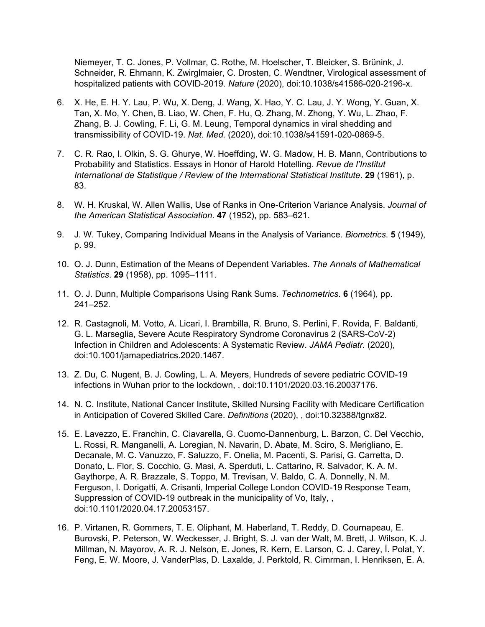Niemeyer, T. C. Jones, P. Vollmar, C. Rothe, M. [Hoelscher,](http://paperpile.com/b/H38esm/94mu) T. Bleicker, S. Brünink, J. Schneider, R. Ehmann, K. [Zwirglmaier,](http://paperpile.com/b/H38esm/94mu) C. Drosten, C. Wendtner, Virological assessment of hospitalized patients with [COVID-2019.](http://paperpile.com/b/H38esm/94mu) *[Nature](http://paperpile.com/b/H38esm/94mu)* [\(2020\),](http://paperpile.com/b/H38esm/94mu) doi:[10.1038/s41586-020-2196-x](http://dx.doi.org/10.1038/s41586-020-2196-x)[.](http://paperpile.com/b/H38esm/94mu)

- 6. X. He, E. H. Y. Lau, P. Wu, X. Deng, J. [Wang,](http://paperpile.com/b/H38esm/ickt) X. Hao, Y. C. Lau, J. Y. Wong, Y. Guan, X. Tan, X. Mo, Y. Chen, B. Liao, W. Chen, F. Hu, Q. [Zhang,](http://paperpile.com/b/H38esm/ickt) M. Zhong, Y. Wu, L. Zhao, F. Zhang, B. J. Cowling, F. Li, G. M. Leung, Temporal [dynamics](http://paperpile.com/b/H38esm/ickt) in viral shedding and [transmissibility](http://paperpile.com/b/H38esm/ickt) of COVID-19. *Nat. [Med.](http://paperpile.com/b/H38esm/ickt)* [\(2020\),](http://paperpile.com/b/H38esm/ickt) doi:[10.1038/s41591-020-0869-5](http://dx.doi.org/10.1038/s41591-020-0869-5)[.](http://paperpile.com/b/H38esm/ickt)
- 7. C. R. Rao, I. Olkin, S. G. Ghurye, W. Hoeffding, W. G. Madow, H. B. Mann, [Contributions](http://paperpile.com/b/H38esm/7SJj) to [Probability](http://paperpile.com/b/H38esm/7SJj) and Statistics. Essays in Honor of Harold Hotelling. *Revue de [l'Institut](http://paperpile.com/b/H38esm/7SJj) International de Statistique / Review of the [International](http://paperpile.com/b/H38esm/7SJj) Statistical Institute*[.](http://paperpile.com/b/H38esm/7SJj) **[29](http://paperpile.com/b/H38esm/7SJj)** [\(1961\),](http://paperpile.com/b/H38esm/7SJj) p. [83.](http://paperpile.com/b/H38esm/7SJj)
- 8. W. H. Kruskal, W. Allen Wallis, Use of Ranks in [One-Criterion](http://paperpile.com/b/H38esm/rDno) Variance Analysis. *[Journal](http://paperpile.com/b/H38esm/rDno) of the American Statistical [Association](http://paperpile.com/b/H38esm/rDno)*[.](http://paperpile.com/b/H38esm/rDno) **[47](http://paperpile.com/b/H38esm/rDno)** (1952), pp. [583–621.](http://paperpile.com/b/H38esm/rDno)
- 9. J. W. Tukey, [Comparing](http://paperpile.com/b/H38esm/k8Ow) Individual Means in the Analysis of Variance. *[Biometrics](http://paperpile.com/b/H38esm/k8Ow)*[.](http://paperpile.com/b/H38esm/k8Ow) **[5](http://paperpile.com/b/H38esm/k8Ow)** [\(1949\),](http://paperpile.com/b/H38esm/k8Ow) p. [99.](http://paperpile.com/b/H38esm/k8Ow)
- 10. O. J. Dunn, Estimation of the Means of [Dependent](http://paperpile.com/b/H38esm/8V3e) Variables. *The Annals of [Mathematical](http://paperpile.com/b/H38esm/8V3e) [Statistics](http://paperpile.com/b/H38esm/8V3e)*[.](http://paperpile.com/b/H38esm/8V3e) **[29](http://paperpile.com/b/H38esm/8V3e)** (1958), pp. [1095–1111.](http://paperpile.com/b/H38esm/8V3e)
- 11. O. J. Dunn, Multiple [Comparisons](http://paperpile.com/b/H38esm/UdzW) Using Rank Sums. *[Technometrics](http://paperpile.com/b/H38esm/UdzW)*[.](http://paperpile.com/b/H38esm/UdzW) **[6](http://paperpile.com/b/H38esm/UdzW)** [\(1964\),](http://paperpile.com/b/H38esm/UdzW) pp. [241–252.](http://paperpile.com/b/H38esm/UdzW)
- 12. R. [Castagnoli,](http://paperpile.com/b/H38esm/Zv3d) M. Votto, A. Licari, I. Brambilla, R. Bruno, S. Perlini, F. Rovida, F. Baldanti, G. L. Marseglia, Severe Acute Respiratory Syndrome Coronavirus 2 [\(SARS-CoV-2\)](http://paperpile.com/b/H38esm/Zv3d) Infection in Children and [Adolescents:](http://paperpile.com/b/H38esm/Zv3d) A Systematic Review. *JAMA [Pediatr.](http://paperpile.com/b/H38esm/Zv3d)* [\(2020\),](http://paperpile.com/b/H38esm/Zv3d) [doi:](http://paperpile.com/b/H38esm/Zv3d)[10.1001/jamapediatrics.2020.1467](http://dx.doi.org/10.1001/jamapediatrics.2020.1467)[.](http://paperpile.com/b/H38esm/Zv3d)
- 13. Z. Du, C. Nugent, B. J. Cowling, L. A. Meyers, Hundreds of severe pediatric [COVID-19](http://paperpile.com/b/H38esm/ijjE) infections in Wuhan prior to the [lockdown,](http://paperpile.com/b/H38esm/ijjE) , doi[:10.1101/2020.03.16.20037176](http://dx.doi.org/10.1101/2020.03.16.20037176)[.](http://paperpile.com/b/H38esm/ijjE)
- 14. N. C. Institute, National Cancer Institute, Skilled Nursing Facility with Medicare [Certification](http://paperpile.com/b/H38esm/2JRw) in [Anticipation](http://paperpile.com/b/H38esm/2JRw) of Covered Skilled Care. *[Definitions](http://paperpile.com/b/H38esm/2JRw)* [\(2020\),](http://paperpile.com/b/H38esm/2JRw) , doi:[10.32388/tgnx82](http://dx.doi.org/10.32388/tgnx82)[.](http://paperpile.com/b/H38esm/2JRw)
- 15. E. Lavezzo, E. Franchin, C. Ciavarella, G. [Cuomo-Dannenburg,](http://paperpile.com/b/H38esm/l6in) L. Barzon, C. Del Vecchio, L. Rossi, R. [Manganelli,](http://paperpile.com/b/H38esm/l6in) A. Loregian, N. Navarin, D. Abate, M. Sciro, S. Merigliano, E. [Decanale,](http://paperpile.com/b/H38esm/l6in) M. C. Vanuzzo, F. Saluzzo, F. Onelia, M. Pacenti, S. Parisi, G. Carretta, D. Donato, L. Flor, S. Cocchio, G. Masi, A. Sperduti, L. [Cattarino,](http://paperpile.com/b/H38esm/l6in) R. Salvador, K. A. M. [Gaythorpe,](http://paperpile.com/b/H38esm/l6in) A. R. Brazzale, S. Toppo, M. Trevisan, V. Baldo, C. A. Donnelly, N. M. Ferguson, I. Dorigatti, A. Crisanti, Imperial College London [COVID-19](http://paperpile.com/b/H38esm/l6in) Response Team, [Suppression](http://paperpile.com/b/H38esm/l6in) of COVID-19 outbreak in the municipality of Vo, Italy, , [doi:](http://paperpile.com/b/H38esm/l6in)[10.1101/2020.04.17.20053157](http://dx.doi.org/10.1101/2020.04.17.20053157)[.](http://paperpile.com/b/H38esm/l6in)
- 16. P. Virtanen, R. Gommers, T. E. Oliphant, M. Haberland, T. Reddy, D. [Cournapeau,](http://paperpile.com/b/H38esm/vLQe) E. Burovski, P. Peterson, W. [Weckesser,](http://paperpile.com/b/H38esm/vLQe) J. Bright, S. J. van der Walt, M. Brett, J. Wilson, K. J. Millman, N. [Mayorov,](http://paperpile.com/b/H38esm/vLQe) A. R. J. Nelson, E. Jones, R. Kern, E. Larson, C. J. Carey, İ. Polat, Y. Feng, E. W. Moore, J. [VanderPlas,](http://paperpile.com/b/H38esm/vLQe) D. Laxalde, J. Perktold, R. Cimrman, I. Henriksen, E. A.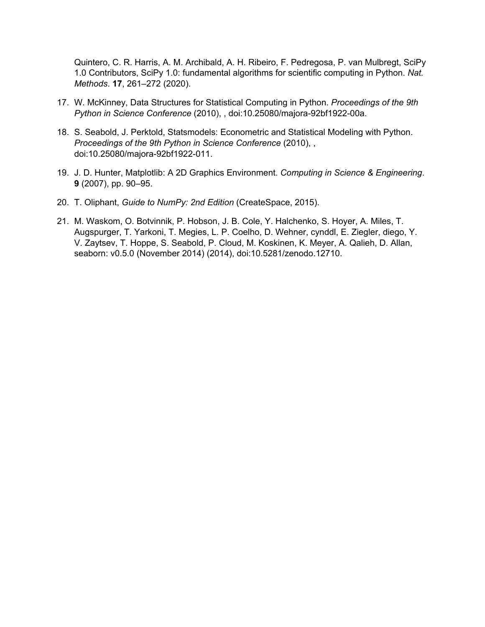Quintero, C. R. Harris, A. M. Archibald, A. H. Ribeiro, F. [Pedregosa,](http://paperpile.com/b/H38esm/vLQe) P. van Mulbregt, SciPy 1.0 [Contributors,](http://paperpile.com/b/H38esm/vLQe) SciPy 1.0: fundamental algorithms for scientific computing in Python. *[Nat.](http://paperpile.com/b/H38esm/vLQe) [Methods](http://paperpile.com/b/H38esm/vLQe)*[.](http://paperpile.com/b/H38esm/vLQe) **[17](http://paperpile.com/b/H38esm/vLQe)**, [261–272](http://paperpile.com/b/H38esm/vLQe) (2020).

- 17. W. McKinney, Data Structures for Statistical [Computing](http://paperpile.com/b/H38esm/Hyg4) in Python. *[Proceedings](http://paperpile.com/b/H38esm/Hyg4) of the 9th Python in Science [Conference](http://paperpile.com/b/H38esm/Hyg4)* [\(2010\),](http://paperpile.com/b/H38esm/Hyg4) , doi:[10.25080/majora-92bf1922-00a](http://dx.doi.org/10.25080/majora-92bf1922-00a)[.](http://paperpile.com/b/H38esm/Hyg4)
- 18. S. Seabold, J. Perktold, [Statsmodels:](http://paperpile.com/b/H38esm/mCHU) Econometric and Statistical Modeling with Python. *[Proceedings](http://paperpile.com/b/H38esm/mCHU) of the 9th Python in Science Conference* [\(2010\),](http://paperpile.com/b/H38esm/mCHU) , [doi:](http://paperpile.com/b/H38esm/mCHU)[10.25080/majora-92bf1922-011](http://dx.doi.org/10.25080/majora-92bf1922-011)[.](http://paperpile.com/b/H38esm/mCHU)
- 19. J. D. Hunter, Matplotlib: A 2D Graphics [Environment.](http://paperpile.com/b/H38esm/9x4o) *Computing in Science & [Engineering](http://paperpile.com/b/H38esm/9x4o)*[.](http://paperpile.com/b/H38esm/9x4o) **[9](http://paperpile.com/b/H38esm/9x4o)** [\(2007\),](http://paperpile.com/b/H38esm/9x4o) pp. 90–95.
- 20. T. [Oliphant,](http://paperpile.com/b/H38esm/VU65) *Guide to [NumPy:](http://paperpile.com/b/H38esm/VU65) 2nd Edition* [\(CreateSpace,](http://paperpile.com/b/H38esm/VU65) 2015).
- 21. M. Waskom, O. Botvinnik, P. Hobson, J. B. Cole, Y. [Halchenko,](http://paperpile.com/b/H38esm/BIam) S. Hoyer, A. Miles, T. [Augspurger,](http://paperpile.com/b/H38esm/BIam) T. Yarkoni, T. Megies, L. P. Coelho, D. Wehner, cynddl, E. Ziegler, diego, Y. V. Zaytsev, T. Hoppe, S. Seabold, P. Cloud, M. [Koskinen,](http://paperpile.com/b/H38esm/BIam) K. Meyer, A. Qalieh, D. Allan, seaborn: v0.5.0 [\(November](http://paperpile.com/b/H38esm/BIam) 2014) (2014), doi[:10.5281/zenodo.12710](http://dx.doi.org/10.5281/zenodo.12710)[.](http://paperpile.com/b/H38esm/BIam)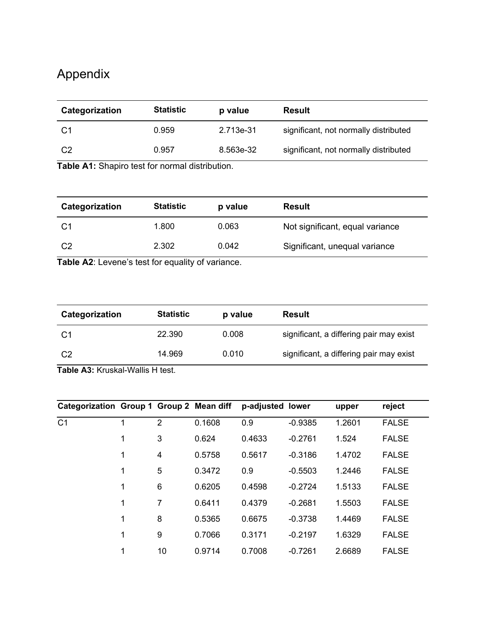# Appendix

| Categorization | <b>Statistic</b> | p value   | <b>Result</b>                         |
|----------------|------------------|-----------|---------------------------------------|
|                | 0.959            | 2.713e-31 | significant, not normally distributed |
| C <sub>2</sub> | 0.957            | 8.563e-32 | significant, not normally distributed |

**Table A1:** Shapiro test for normal distribution.

| Categorization | <b>Statistic</b> | p value | <b>Result</b>                   |
|----------------|------------------|---------|---------------------------------|
|                | 1.800            | 0.063   | Not significant, equal variance |
| C <sub>2</sub> | 2.302            | 0.042   | Significant, unequal variance   |

**Table A2**: Levene's test for equality of variance.

| Categorization | <b>Statistic</b> | p value | <b>Result</b>                           |
|----------------|------------------|---------|-----------------------------------------|
|                | 22.390           | 0.008   | significant, a differing pair may exist |
| C <sub>2</sub> | 14.969           | 0.010   | significant, a differing pair may exist |

**Table A3:** Kruskal-Wallis H test.

| Categorization Group 1 Group 2 Mean diff |   |                |        | p-adjusted lower |           | upper  | reject       |
|------------------------------------------|---|----------------|--------|------------------|-----------|--------|--------------|
| C <sub>1</sub>                           | 1 | $\overline{2}$ | 0.1608 | 0.9              | $-0.9385$ | 1.2601 | <b>FALSE</b> |
|                                          | 1 | 3              | 0.624  | 0.4633           | $-0.2761$ | 1.524  | <b>FALSE</b> |
|                                          | 1 | 4              | 0.5758 | 0.5617           | $-0.3186$ | 1.4702 | <b>FALSE</b> |
|                                          | 1 | 5              | 0.3472 | 0.9              | $-0.5503$ | 1.2446 | <b>FALSE</b> |
|                                          | 1 | 6              | 0.6205 | 0.4598           | $-0.2724$ | 1.5133 | <b>FALSE</b> |
|                                          | 1 | 7              | 0.6411 | 0.4379           | $-0.2681$ | 1.5503 | <b>FALSE</b> |
|                                          | 1 | 8              | 0.5365 | 0.6675           | $-0.3738$ | 1.4469 | <b>FALSE</b> |
|                                          | 1 | 9              | 0.7066 | 0.3171           | $-0.2197$ | 1.6329 | <b>FALSE</b> |
|                                          | 1 | 10             | 0.9714 | 0.7008           | $-0.7261$ | 2.6689 | <b>FALSE</b> |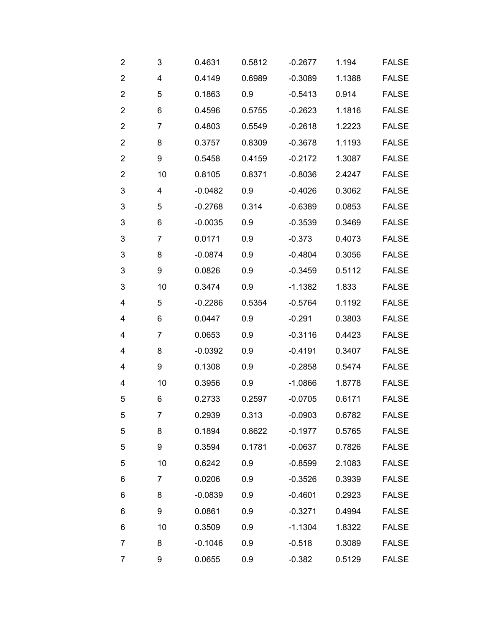| $\overline{2}$          | 3              | 0.4631    | 0.5812 | $-0.2677$ | 1.194  | <b>FALSE</b> |
|-------------------------|----------------|-----------|--------|-----------|--------|--------------|
| $\mathbf 2$             | 4              | 0.4149    | 0.6989 | $-0.3089$ | 1.1388 | <b>FALSE</b> |
| $\overline{2}$          | 5              | 0.1863    | 0.9    | $-0.5413$ | 0.914  | <b>FALSE</b> |
| $\overline{\mathbf{c}}$ | 6              | 0.4596    | 0.5755 | $-0.2623$ | 1.1816 | <b>FALSE</b> |
| $\overline{2}$          | $\overline{7}$ | 0.4803    | 0.5549 | $-0.2618$ | 1.2223 | <b>FALSE</b> |
| $\overline{2}$          | 8              | 0.3757    | 0.8309 | $-0.3678$ | 1.1193 | <b>FALSE</b> |
| $\overline{2}$          | 9              | 0.5458    | 0.4159 | $-0.2172$ | 1.3087 | <b>FALSE</b> |
| $\overline{\mathbf{c}}$ | 10             | 0.8105    | 0.8371 | $-0.8036$ | 2.4247 | <b>FALSE</b> |
| 3                       | 4              | $-0.0482$ | 0.9    | $-0.4026$ | 0.3062 | <b>FALSE</b> |
| 3                       | 5              | $-0.2768$ | 0.314  | $-0.6389$ | 0.0853 | <b>FALSE</b> |
| 3                       | 6              | $-0.0035$ | 0.9    | $-0.3539$ | 0.3469 | <b>FALSE</b> |
| 3                       | 7              | 0.0171    | 0.9    | $-0.373$  | 0.4073 | <b>FALSE</b> |
| 3                       | 8              | $-0.0874$ | 0.9    | $-0.4804$ | 0.3056 | <b>FALSE</b> |
| 3                       | 9              | 0.0826    | 0.9    | $-0.3459$ | 0.5112 | <b>FALSE</b> |
| 3                       | 10             | 0.3474    | 0.9    | $-1.1382$ | 1.833  | <b>FALSE</b> |
| 4                       | 5              | $-0.2286$ | 0.5354 | $-0.5764$ | 0.1192 | <b>FALSE</b> |
| 4                       | 6              | 0.0447    | 0.9    | $-0.291$  | 0.3803 | <b>FALSE</b> |
| 4                       | 7              | 0.0653    | 0.9    | $-0.3116$ | 0.4423 | <b>FALSE</b> |
| 4                       | 8              | $-0.0392$ | 0.9    | $-0.4191$ | 0.3407 | <b>FALSE</b> |
| 4                       | 9              | 0.1308    | 0.9    | $-0.2858$ | 0.5474 | <b>FALSE</b> |
| 4                       | 10             | 0.3956    | 0.9    | $-1.0866$ | 1.8778 | <b>FALSE</b> |
| 5                       | 6              | 0.2733    | 0.2597 | $-0.0705$ | 0.6171 | <b>FALSE</b> |
| 5                       | 7              | 0.2939    | 0.313  | $-0.0903$ | 0.6782 | <b>FALSE</b> |
| 5                       | 8              | 0.1894    | 0.8622 | $-0.1977$ | 0.5765 | <b>FALSE</b> |
| 5                       | 9              | 0.3594    | 0.1781 | $-0.0637$ | 0.7826 | <b>FALSE</b> |
| 5                       | 10             | 0.6242    | 0.9    | $-0.8599$ | 2.1083 | <b>FALSE</b> |
| 6                       | $\overline{7}$ | 0.0206    | 0.9    | $-0.3526$ | 0.3939 | <b>FALSE</b> |
| 6                       | 8              | $-0.0839$ | 0.9    | $-0.4601$ | 0.2923 | <b>FALSE</b> |
| 6                       | 9              | 0.0861    | 0.9    | $-0.3271$ | 0.4994 | <b>FALSE</b> |
| 6                       | 10             | 0.3509    | 0.9    | $-1.1304$ | 1.8322 | <b>FALSE</b> |
| $\overline{7}$          | 8              | $-0.1046$ | 0.9    | $-0.518$  | 0.3089 | <b>FALSE</b> |
| $\overline{7}$          | 9              | 0.0655    | 0.9    | $-0.382$  | 0.5129 | <b>FALSE</b> |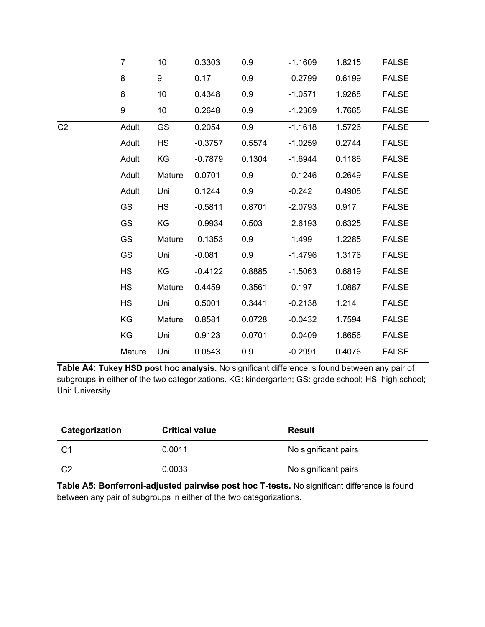|                | $\overline{7}$ | 10        | 0.3303    | 0.9    | $-1.1609$ | 1.8215 | <b>FALSE</b> |
|----------------|----------------|-----------|-----------|--------|-----------|--------|--------------|
|                | 8              | 9         | 0.17      | 0.9    | $-0.2799$ | 0.6199 | <b>FALSE</b> |
|                | 8              | 10        | 0.4348    | 0.9    | $-1.0571$ | 1.9268 | <b>FALSE</b> |
|                | 9              | 10        | 0.2648    | 0.9    | $-1.2369$ | 1.7665 | <b>FALSE</b> |
| C <sub>2</sub> | Adult          | GS        | 0.2054    | 0.9    | $-1.1618$ | 1.5726 | <b>FALSE</b> |
|                | Adult          | <b>HS</b> | $-0.3757$ | 0.5574 | $-1.0259$ | 0.2744 | <b>FALSE</b> |
|                | Adult          | KG        | $-0.7879$ | 0.1304 | $-1.6944$ | 0.1186 | <b>FALSE</b> |
|                | Adult          | Mature    | 0.0701    | 0.9    | $-0.1246$ | 0.2649 | <b>FALSE</b> |
|                | Adult          | Uni       | 0.1244    | 0.9    | $-0.242$  | 0.4908 | <b>FALSE</b> |
|                | GS             | <b>HS</b> | $-0.5811$ | 0.8701 | $-2.0793$ | 0.917  | <b>FALSE</b> |
|                | GS             | KG        | $-0.9934$ | 0.503  | $-2.6193$ | 0.6325 | <b>FALSE</b> |
|                | GS             | Mature    | $-0.1353$ | 0.9    | $-1.499$  | 1.2285 | <b>FALSE</b> |
|                | GS             | Uni       | $-0.081$  | 0.9    | $-1.4796$ | 1.3176 | <b>FALSE</b> |
|                | <b>HS</b>      | KG        | $-0.4122$ | 0.8885 | $-1.5063$ | 0.6819 | <b>FALSE</b> |
|                | <b>HS</b>      | Mature    | 0.4459    | 0.3561 | $-0.197$  | 1.0887 | <b>FALSE</b> |
|                | <b>HS</b>      | Uni       | 0.5001    | 0.3441 | $-0.2138$ | 1.214  | <b>FALSE</b> |
|                | KG             | Mature    | 0.8581    | 0.0728 | $-0.0432$ | 1.7594 | <b>FALSE</b> |
|                | KG             | Uni       | 0.9123    | 0.0701 | $-0.0409$ | 1.8656 | <b>FALSE</b> |
|                | Mature         | Uni       | 0.0543    | 0.9    | $-0.2991$ | 0.4076 | <b>FALSE</b> |

**Table A4: Tukey HSD post hoc analysis.** No significant difference is found between any pair of subgroups in either of the two categorizations. KG: kindergarten; GS: grade school; HS: high school; Uni: University.

| Categorization | <b>Critical value</b> | <b>Result</b>        |
|----------------|-----------------------|----------------------|
| C1             | 0.0011                | No significant pairs |
| C <sub>2</sub> | 0.0033                | No significant pairs |

**Table A5: Bonferroni-adjusted pairwise post hoc T-tests.** No significant difference is found between any pair of subgroups in either of the two categorizations.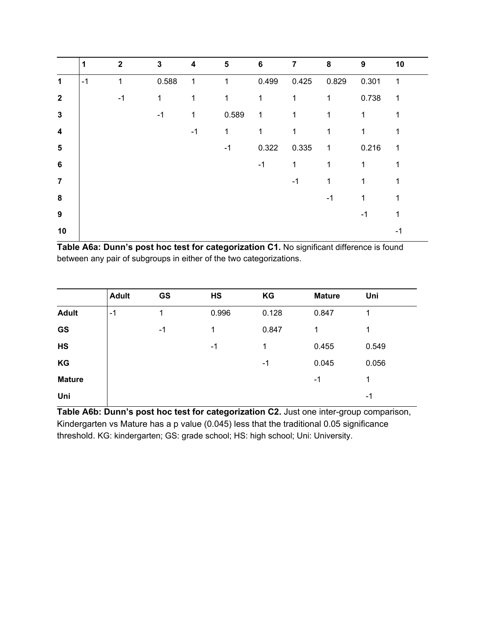|                         | 1    | $\mathbf{2}$ | 3     | $\overline{\mathbf{4}}$ | 5            | $6\phantom{1}$ | $\overline{7}$ | 8            | 9            | 10             |
|-------------------------|------|--------------|-------|-------------------------|--------------|----------------|----------------|--------------|--------------|----------------|
| $\mathbf 1$             | $-1$ | 1            | 0.588 | $\mathbf 1$             | $\mathbf{1}$ | 0.499          | 0.425          | 0.829        | 0.301        | $\overline{1}$ |
| $\mathbf{2}$            |      | -1           | 1     | 1                       | 1            | 1              | 1              | 1            | 0.738        | 1              |
| $\mathbf{3}$            |      |              | $-1$  | 1                       | 0.589        | $\mathbf{1}$   | $\mathbf{1}$   | $\mathbf{1}$ | 1            |                |
| $\overline{\mathbf{4}}$ |      |              |       | $-1$                    | 1            | 1              | 1              |              | 1            |                |
| $\sqrt{5}$              |      |              |       |                         | $-1$         | 0.322          | 0.335          | $\mathbf{1}$ | 0.216        | 1              |
| $6\phantom{1}$          |      |              |       |                         |              | $-1$           | $\mathbf{1}$   | 1            | $\mathbf{1}$ | 1              |
| $\overline{7}$          |      |              |       |                         |              |                | $-1$           | 1            | 1            | 1              |
| $\bf{8}$                |      |              |       |                         |              |                |                | $-1$         | 1            |                |
| $\boldsymbol{9}$        |      |              |       |                         |              |                |                |              | -1           |                |
| 10                      |      |              |       |                         |              |                |                |              |              | -1             |

**Table A6a: Dunn's post hoc test for categorization C1.** No significant difference is found between any pair of subgroups in either of the two categorizations.

|               | <b>Adult</b> | <b>GS</b> | HS    | KG    | <b>Mature</b> | Uni   |
|---------------|--------------|-----------|-------|-------|---------------|-------|
| <b>Adult</b>  | $-1$         | 1         | 0.996 | 0.128 | 0.847         |       |
| <b>GS</b>     |              | $-1$      | 1     | 0.847 | 1             |       |
| HS            |              |           | -1    | 1     | 0.455         | 0.549 |
| KG            |              |           |       | -1    | 0.045         | 0.056 |
| <b>Mature</b> |              |           |       |       | -1            | 1     |
| Uni           |              |           |       |       |               | -1    |

**Table A6b: Dunn's post hoc test for categorization C2.** Just one inter-group comparison, Kindergarten vs Mature has a p value (0.045) less that the traditional 0.05 significance threshold. KG: kindergarten; GS: grade school; HS: high school; Uni: University.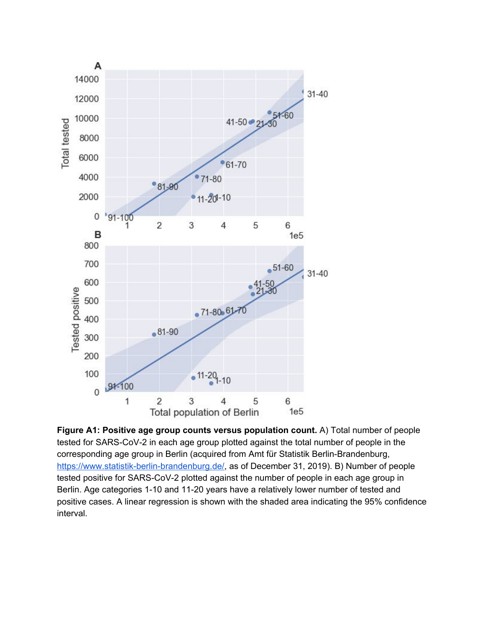

**Figure A1: Positive age group counts versus population count.** A) Total number of people tested for SARS-CoV-2 in each age group plotted against the total number of people in the corresponding age group in Berlin (acquired from Amt für Statistik Berlin-Brandenburg, [https://www.statistik-berlin-brandenburg.de/,](https://www.statistik-berlin-brandenburg.de/) as of December 31, 2019). B) Number of people tested positive for SARS-CoV-2 plotted against the number of people in each age group in Berlin. Age categories 1-10 and 11-20 years have a relatively lower number of tested and positive cases. A linear regression is shown with the shaded area indicating the 95% confidence interval.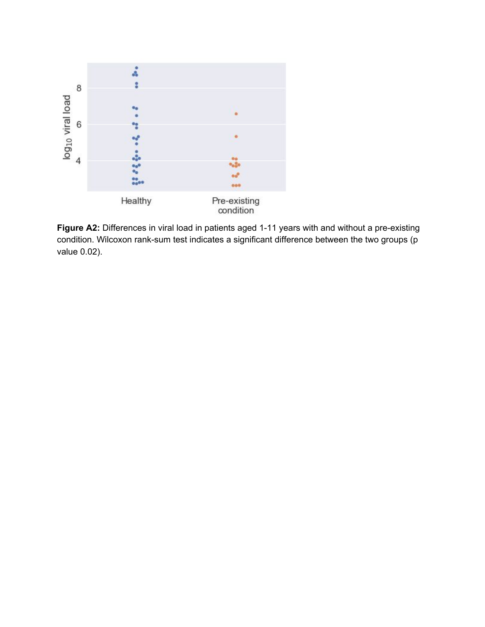

**Figure A2:** Differences in viral load in patients aged 1-11 years with and without a pre-existing condition. Wilcoxon rank-sum test indicates a significant difference between the two groups (p value 0.02).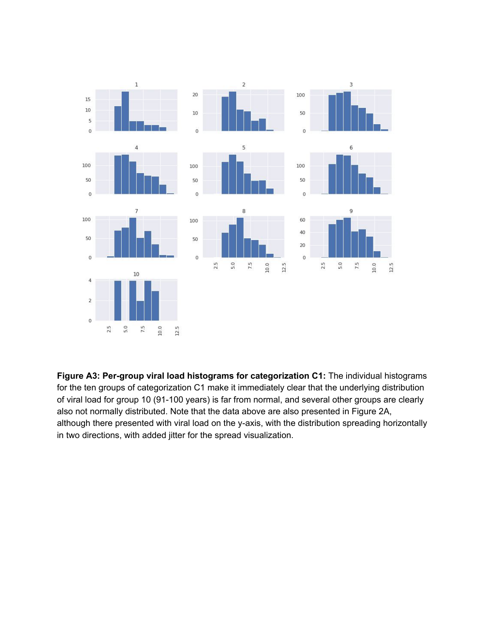

**Figure A3: Per-group viral load histograms for categorization C1:** The individual histograms for the ten groups of categorization C1 make it immediately clear that the underlying distribution of viral load for group 10 (91-100 years) is far from normal, and several other groups are clearly also not normally distributed. Note that the data above are also presented in Figure 2A, although there presented with viral load on the y-axis, with the distribution spreading horizontally in two directions, with added jitter for the spread visualization.